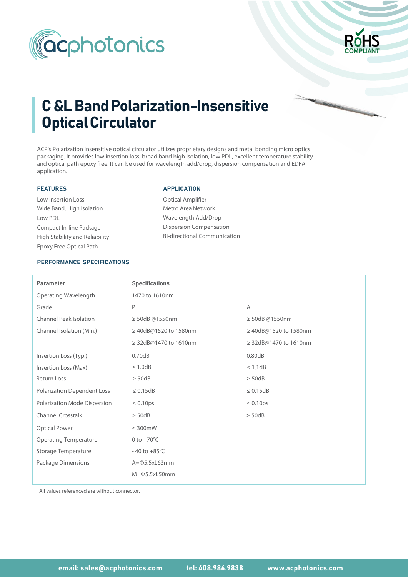



# C &L Band Polarization-Insensitive Optical Circulator

ACP's Polarization insensitive optical circulator utilizes proprietary designs and metal bonding micro optics packaging. It provides low insertion loss, broad band high isolation, low PDL, excellent temperature stability and optical path epoxy free. It can be used for wavelength add/drop, dispersion compensation and EDFA application.

## FEATURES

Wide Band, High Isolation Low Insertion Loss Low PDL Compact In-line Package Epoxy Free Optical Path High Stability and Reliability

### APPLICATION

Optical Amplifier Metro Area Network Wavelength Add/Drop Dispersion Compensation Bi-directional Communication

## PERFORMANCE SPECIFICATIONS

| <b>Parameter</b>                   | <b>Specifications</b>    |                       |  |  |
|------------------------------------|--------------------------|-----------------------|--|--|
| Operating Wavelength               | 1470 to 1610nm           |                       |  |  |
| Grade                              | P                        | $\overline{A}$        |  |  |
| <b>Channel Peak Isolation</b>      | $\geq$ 50dB @1550nm      | $\geq$ 50dB @1550nm   |  |  |
| Channel Isolation (Min.)           | ≥ 40dB@1520 to 1580nm    | ≥ 40dB@1520 to 1580nm |  |  |
|                                    | ≥ 32dB@1470 to 1610nm    | ≥ 32dB@1470 to 1610nm |  |  |
| Insertion Loss (Typ.)              | 0.70dB                   | 0.80dB                |  |  |
| Insertion Loss (Max)               | $\leq 1.0$ dB            | $\leq 1.1$ dB         |  |  |
| Return Loss                        | $\geq$ 50dB              | $\geq$ 50dB           |  |  |
| <b>Polarization Dependent Loss</b> | $\leq 0.15dB$            | $\leq$ 0.15dB         |  |  |
| Polarization Mode Dispersion       | $\leq 0.10 \text{ps}$    | $\leq 0.10$ ps        |  |  |
| Channel Crosstalk                  | $\geq$ 50dB              | $\geq$ 50dB           |  |  |
| <b>Optical Power</b>               | $\leq$ 300mW             |                       |  |  |
| <b>Operating Temperature</b>       | 0 to $+70^{\circ}$ C     |                       |  |  |
| <b>Storage Temperature</b>         | $-40$ to $+85^{\circ}$ C |                       |  |  |
| Package Dimensions                 | A= $\Phi$ 5.5xL63mm      |                       |  |  |
|                                    | $M = \Phi$ 5.5xL50mm     |                       |  |  |

All values referenced are without connector.